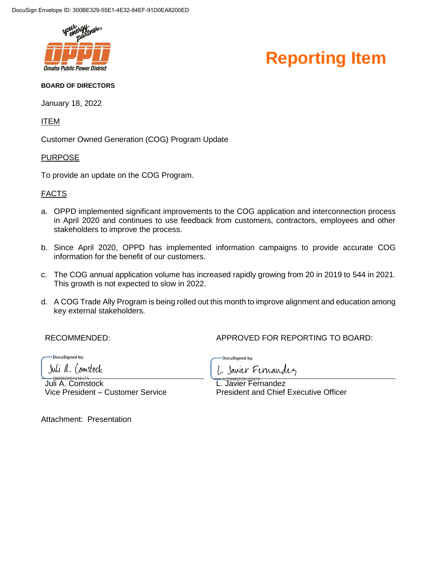

### **Reporting Item**

#### **BOARD OF DIRECTORS**

January 18, 2022

ITEM

Customer Owned Generation (COG) Program Update

#### PURPOSE

To provide an update on the COG Program.

#### FACTS

- a. OPPD implemented significant improvements to the COG application and interconnection process in April 2020 and continues to use feedback from customers, contractors, employees and other stakeholders to improve the process.
- b. Since April 2020, OPPD has implemented information campaigns to provide accurate COG information for the benefit of our customers.
- c. The COG annual application volume has increased rapidly growing from 20 in 2019 to 544 in 2021. This growth is not expected to slow in 2022.
- d. A COG Trade Ally Program is being rolled out this month to improve alignment and education among key external stakeholders.

RECOMMENDED: APPROVED FOR REPORTING TO BOARD:

DocuSianed by:

Juli a. Constock

Juli A. Comstock Vice President – Customer Service

DocuSigned by: 1. Javier Fernandez

L. Javier Fernandez President and Chief Executive Officer

Attachment: Presentation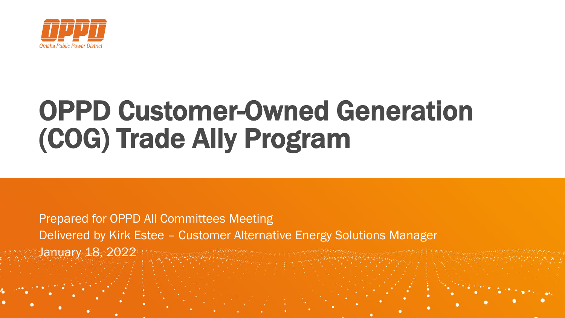

## OPPD Customer-Owned Generation (COG) Trade Ally Program

### Prepared for OPPD All Committees Meeting Delivered by Kirk Estee – Customer Alternative Energy Solutions Manager January 18, 2022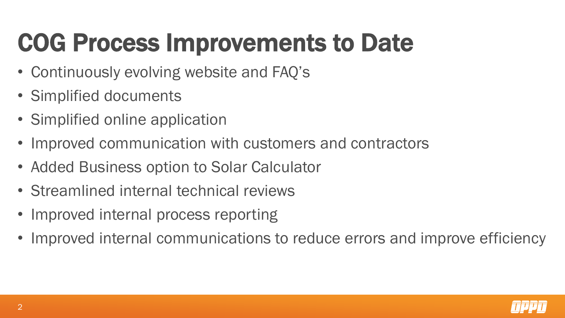# COG Process Improvements to Date

- Continuously evolving website and FAQ's
- Simplified documents
- Simplified online application
- Improved communication with customers and contractors
- Added Business option to Solar Calculator
- Streamlined internal technical reviews
- Improved internal process reporting
- Improved internal communications to reduce errors and improve efficiency

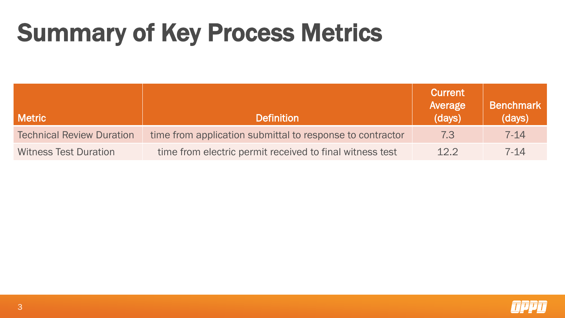### Summary of Key Process Metrics

| <b>Metric</b>                    | <b>Definition</b>                                         | <b>Current</b><br>Average<br>(days) | <b>Benchmark</b><br>(days) |
|----------------------------------|-----------------------------------------------------------|-------------------------------------|----------------------------|
| <b>Technical Review Duration</b> | time from application submittal to response to contractor | 7.3                                 | $7 - 14$                   |
| <b>Witness Test Duration</b>     | time from electric permit received to final witness test  | 12.2                                | $7 - 14$                   |

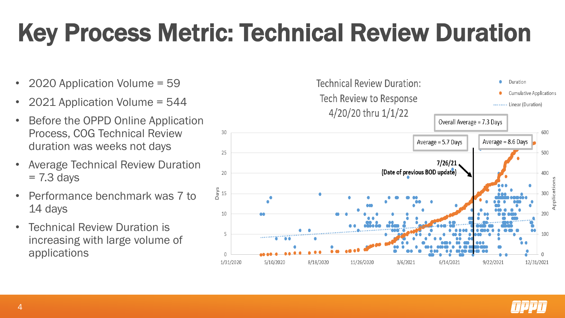## Key Process Metric: Technical Review Duration

- 2020 Application Volume = 59
- 2021 Application Volume = 544
- Before the OPPD Online Application Process, COG Technical Review duration was weeks not days
- Average Technical Review Duration  $= 7.3$  days
- Performance benchmark was 7 to 14 days
- Technical Review Duration is increasing with large volume of applications



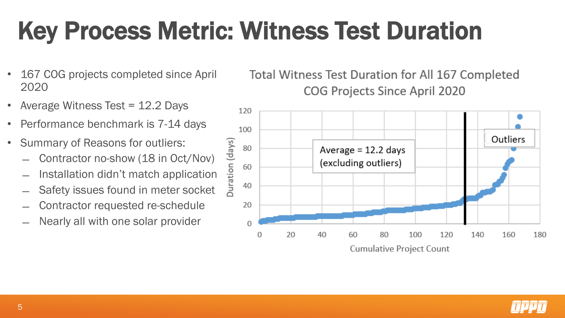# Key Process Metric: Witness Test Duration

- 167 COG projects completed since April 2020
- Average Witness Test = 12.2 Days
- Performance benchmark is 7-14 days
- Summary of Reasons for outliers:
	- ̶ Contractor no-show (18 in Oct/Nov)
	- Installation didn't match application
	- Safety issues found in meter socket
	- ̶ Contractor requested re-schedule
	- Nearly all with one solar provider

Total Witness Test Duration for All 167 Completed **COG Projects Since April 2020** 



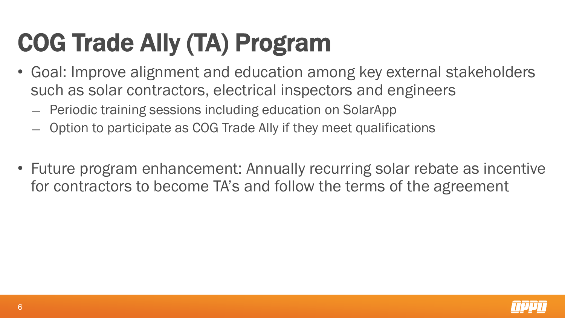# COG Trade Ally (TA) Program

- Goal: Improve alignment and education among key external stakeholders such as solar contractors, electrical inspectors and engineers
	- ̶ Periodic training sessions including education on SolarApp
	- ̶ Option to participate as COG Trade Ally if they meet qualifications
- Future program enhancement: Annually recurring solar rebate as incentive for contractors to become TA's and follow the terms of the agreement